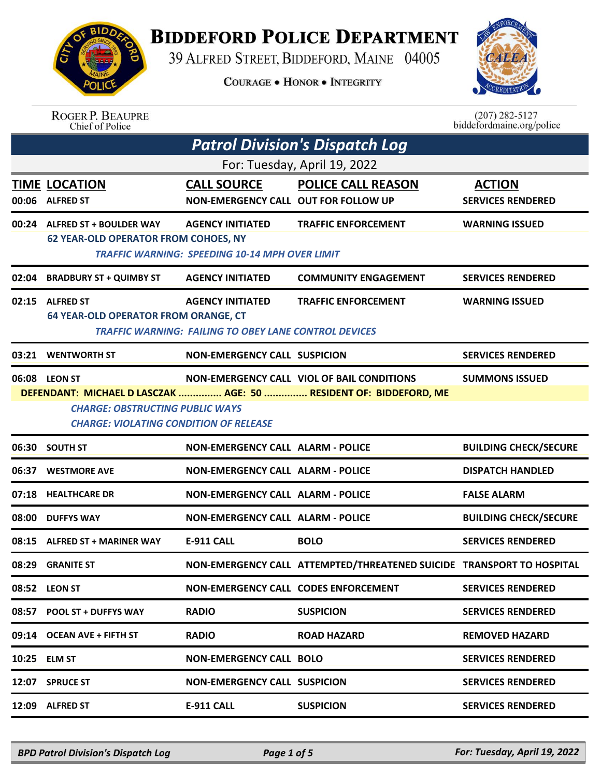

## **BIDDEFORD POLICE DEPARTMENT**

39 ALFRED STREET, BIDDEFORD, MAINE 04005

**COURAGE . HONOR . INTEGRITY** 



## ROGER P. BEAUPRE<br>Chief of Police

 $(207)$  282-5127<br>biddefordmaine.org/police

| <b>Patrol Division's Dispatch Log</b> |                                                                                                                                                                                                                                                             |                                                                                         |                                                                       |                                           |  |  |
|---------------------------------------|-------------------------------------------------------------------------------------------------------------------------------------------------------------------------------------------------------------------------------------------------------------|-----------------------------------------------------------------------------------------|-----------------------------------------------------------------------|-------------------------------------------|--|--|
| For: Tuesday, April 19, 2022          |                                                                                                                                                                                                                                                             |                                                                                         |                                                                       |                                           |  |  |
| 00:06                                 | <b>TIME LOCATION</b><br><b>ALFRED ST</b>                                                                                                                                                                                                                    | <b>CALL SOURCE</b><br><b>NON-EMERGENCY CALL OUT FOR FOLLOW UP</b>                       | <b>POLICE CALL REASON</b>                                             | <b>ACTION</b><br><b>SERVICES RENDERED</b> |  |  |
|                                       | 00:24 ALFRED ST + BOULDER WAY<br><b>62 YEAR-OLD OPERATOR FROM COHOES, NY</b>                                                                                                                                                                                | <b>AGENCY INITIATED</b><br>TRAFFIC WARNING: SPEEDING 10-14 MPH OVER LIMIT               | <b>TRAFFIC ENFORCEMENT</b>                                            | <b>WARNING ISSUED</b>                     |  |  |
| 02:04                                 | <b>BRADBURY ST + QUIMBY ST</b>                                                                                                                                                                                                                              | <b>AGENCY INITIATED</b>                                                                 | <b>COMMUNITY ENGAGEMENT</b>                                           | <b>SERVICES RENDERED</b>                  |  |  |
|                                       | 02:15 ALFRED ST<br><b>64 YEAR-OLD OPERATOR FROM ORANGE, CT</b>                                                                                                                                                                                              | <b>AGENCY INITIATED</b><br><b>TRAFFIC WARNING: FAILING TO OBEY LANE CONTROL DEVICES</b> | <b>TRAFFIC ENFORCEMENT</b>                                            | <b>WARNING ISSUED</b>                     |  |  |
| 03:21                                 | <b>WENTWORTH ST</b>                                                                                                                                                                                                                                         | <b>NON-EMERGENCY CALL SUSPICION</b>                                                     |                                                                       | <b>SERVICES RENDERED</b>                  |  |  |
|                                       | <b>NON-EMERGENCY CALL VIOL OF BAIL CONDITIONS</b><br>06:08 LEON ST<br><b>SUMMONS ISSUED</b><br>DEFENDANT: MICHAEL D LASCZAK  AGE: 50  RESIDENT OF: BIDDEFORD, ME<br><b>CHARGE: OBSTRUCTING PUBLIC WAYS</b><br><b>CHARGE: VIOLATING CONDITION OF RELEASE</b> |                                                                                         |                                                                       |                                           |  |  |
|                                       | 06:30 SOUTH ST                                                                                                                                                                                                                                              | <b>NON-EMERGENCY CALL ALARM - POLICE</b>                                                |                                                                       | <b>BUILDING CHECK/SECURE</b>              |  |  |
| 06:37                                 | <b>WESTMORE AVE</b>                                                                                                                                                                                                                                         | <b>NON-EMERGENCY CALL ALARM - POLICE</b>                                                |                                                                       | <b>DISPATCH HANDLED</b>                   |  |  |
|                                       | 07:18 HEALTHCARE DR                                                                                                                                                                                                                                         | <b>NON-EMERGENCY CALL ALARM - POLICE</b>                                                |                                                                       | <b>FALSE ALARM</b>                        |  |  |
| 08:00                                 | <b>DUFFYS WAY</b>                                                                                                                                                                                                                                           | <b>NON-EMERGENCY CALL ALARM - POLICE</b>                                                |                                                                       | <b>BUILDING CHECK/SECURE</b>              |  |  |
|                                       | 08:15 ALFRED ST + MARINER WAY                                                                                                                                                                                                                               | <b>E-911 CALL</b>                                                                       | <b>BOLO</b>                                                           | <b>SERVICES RENDERED</b>                  |  |  |
| 08:29                                 | <b>GRANITE ST</b>                                                                                                                                                                                                                                           |                                                                                         | NON-EMERGENCY CALL ATTEMPTED/THREATENED SUICIDE TRANSPORT TO HOSPITAL |                                           |  |  |
|                                       | 08:52 LEON ST                                                                                                                                                                                                                                               | NON-EMERGENCY CALL CODES ENFORCEMENT                                                    |                                                                       | <b>SERVICES RENDERED</b>                  |  |  |
|                                       | 08:57 POOL ST + DUFFYS WAY                                                                                                                                                                                                                                  | <b>RADIO</b>                                                                            | <b>SUSPICION</b>                                                      | <b>SERVICES RENDERED</b>                  |  |  |
|                                       | 09:14 OCEAN AVE + FIFTH ST                                                                                                                                                                                                                                  | <b>RADIO</b>                                                                            | <b>ROAD HAZARD</b>                                                    | <b>REMOVED HAZARD</b>                     |  |  |
|                                       | 10:25 ELM ST                                                                                                                                                                                                                                                | <b>NON-EMERGENCY CALL BOLO</b>                                                          |                                                                       | <b>SERVICES RENDERED</b>                  |  |  |
|                                       | 12:07 SPRUCE ST                                                                                                                                                                                                                                             | <b>NON-EMERGENCY CALL SUSPICION</b>                                                     |                                                                       | <b>SERVICES RENDERED</b>                  |  |  |
|                                       | 12:09 ALFRED ST                                                                                                                                                                                                                                             | <b>E-911 CALL</b>                                                                       | <b>SUSPICION</b>                                                      | <b>SERVICES RENDERED</b>                  |  |  |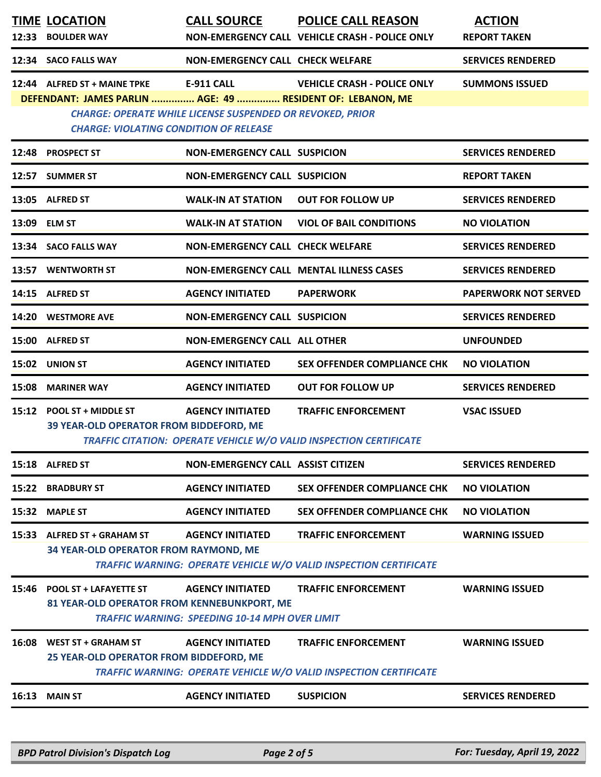|       | <b>TIME LOCATION</b><br>12:33 BOULDER WAY                                                                                                   | <b>CALL SOURCE</b>                                                               | <b>POLICE CALL REASON</b><br>NON-EMERGENCY CALL VEHICLE CRASH - POLICE ONLY                            | <b>ACTION</b><br><b>REPORT TAKEN</b> |
|-------|---------------------------------------------------------------------------------------------------------------------------------------------|----------------------------------------------------------------------------------|--------------------------------------------------------------------------------------------------------|--------------------------------------|
|       | 12:34 SACO FALLS WAY                                                                                                                        | NON-EMERGENCY CALL CHECK WELFARE                                                 |                                                                                                        | <b>SERVICES RENDERED</b>             |
|       | 12:44 ALFRED ST + MAINE TPKE<br>DEFENDANT: JAMES PARLIN  AGE: 49  RESIDENT OF: LEBANON, ME<br><b>CHARGE: VIOLATING CONDITION OF RELEASE</b> | E-911 CALL<br><b>CHARGE: OPERATE WHILE LICENSE SUSPENDED OR REVOKED, PRIOR</b>   | <b>VEHICLE CRASH - POLICE ONLY</b>                                                                     | <b>SUMMONS ISSUED</b>                |
| 12:48 | <b>PROSPECT ST</b>                                                                                                                          | NON-EMERGENCY CALL SUSPICION                                                     |                                                                                                        | <b>SERVICES RENDERED</b>             |
|       | 12:57 SUMMER ST                                                                                                                             | <b>NON-EMERGENCY CALL SUSPICION</b>                                              |                                                                                                        | <b>REPORT TAKEN</b>                  |
|       | 13:05 ALFRED ST                                                                                                                             | <b>WALK-IN AT STATION</b>                                                        | <b>OUT FOR FOLLOW UP</b>                                                                               | <b>SERVICES RENDERED</b>             |
| 13:09 | <b>ELM ST</b>                                                                                                                               | <b>WALK-IN AT STATION</b>                                                        | <b>VIOL OF BAIL CONDITIONS</b>                                                                         | <b>NO VIOLATION</b>                  |
|       | 13:34 SACO FALLS WAY                                                                                                                        | <b>NON-EMERGENCY CALL CHECK WELFARE</b>                                          |                                                                                                        | <b>SERVICES RENDERED</b>             |
|       | 13:57 WENTWORTH ST                                                                                                                          |                                                                                  | <b>NON-EMERGENCY CALL MENTAL ILLNESS CASES</b>                                                         | <b>SERVICES RENDERED</b>             |
|       | 14:15 ALFRED ST                                                                                                                             | <b>AGENCY INITIATED</b>                                                          | <b>PAPERWORK</b>                                                                                       | <b>PAPERWORK NOT SERVED</b>          |
|       | 14:20 WESTMORE AVE                                                                                                                          | <b>NON-EMERGENCY CALL SUSPICION</b>                                              |                                                                                                        | <b>SERVICES RENDERED</b>             |
| 15:00 | <b>ALFRED ST</b>                                                                                                                            | <b>NON-EMERGENCY CALL ALL OTHER</b>                                              |                                                                                                        | <b>UNFOUNDED</b>                     |
|       | 15:02 UNION ST                                                                                                                              | <b>AGENCY INITIATED</b>                                                          | <b>SEX OFFENDER COMPLIANCE CHK</b>                                                                     | <b>NO VIOLATION</b>                  |
| 15:08 | <b>MARINER WAY</b>                                                                                                                          | <b>AGENCY INITIATED</b>                                                          | <b>OUT FOR FOLLOW UP</b>                                                                               | <b>SERVICES RENDERED</b>             |
|       | 15:12 POOL ST + MIDDLE ST<br>39 YEAR-OLD OPERATOR FROM BIDDEFORD, ME                                                                        | <b>AGENCY INITIATED</b>                                                          | <b>TRAFFIC ENFORCEMENT</b><br>TRAFFIC CITATION: OPERATE VEHICLE W/O VALID INSPECTION CERTIFICATE       | <b>VSAC ISSUED</b>                   |
|       | 15:18 ALFRED ST                                                                                                                             | <b>NON-EMERGENCY CALL ASSIST CITIZEN</b>                                         |                                                                                                        | <b>SERVICES RENDERED</b>             |
| 15:22 | <b>BRADBURY ST</b>                                                                                                                          | <b>AGENCY INITIATED</b>                                                          | <b>SEX OFFENDER COMPLIANCE CHK</b>                                                                     | <b>NO VIOLATION</b>                  |
| 15:32 | <b>MAPLE ST</b>                                                                                                                             | <b>AGENCY INITIATED</b>                                                          | <b>SEX OFFENDER COMPLIANCE CHK</b>                                                                     | <b>NO VIOLATION</b>                  |
|       | 15:33 ALFRED ST + GRAHAM ST<br>34 YEAR-OLD OPERATOR FROM RAYMOND, ME                                                                        | <b>AGENCY INITIATED</b>                                                          | <b>TRAFFIC ENFORCEMENT</b><br><b>TRAFFIC WARNING: OPERATE VEHICLE W/O VALID INSPECTION CERTIFICATE</b> | <b>WARNING ISSUED</b>                |
|       | 15:46 POOL ST + LAFAYETTE ST<br>81 YEAR-OLD OPERATOR FROM KENNEBUNKPORT, ME                                                                 | <b>AGENCY INITIATED</b><br><b>TRAFFIC WARNING: SPEEDING 10-14 MPH OVER LIMIT</b> | <b>TRAFFIC ENFORCEMENT</b>                                                                             | <b>WARNING ISSUED</b>                |
| 16:08 | <b>WEST ST + GRAHAM ST</b><br>25 YEAR-OLD OPERATOR FROM BIDDEFORD, ME                                                                       | <b>AGENCY INITIATED</b>                                                          | <b>TRAFFIC ENFORCEMENT</b><br><b>TRAFFIC WARNING: OPERATE VEHICLE W/O VALID INSPECTION CERTIFICATE</b> | <b>WARNING ISSUED</b>                |
| 16:13 | <b>MAIN ST</b>                                                                                                                              | <b>AGENCY INITIATED</b>                                                          | <b>SUSPICION</b>                                                                                       | <b>SERVICES RENDERED</b>             |
|       |                                                                                                                                             |                                                                                  |                                                                                                        |                                      |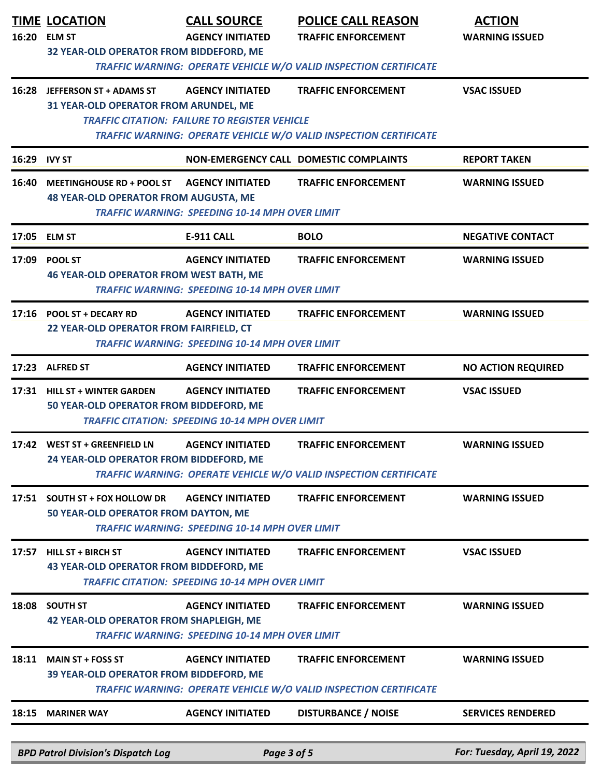| 16:20        | <b>TIME LOCATION</b><br><b>ELM ST</b><br>32 YEAR-OLD OPERATOR FROM BIDDEFORD, ME | <b>CALL SOURCE</b><br><b>AGENCY INITIATED</b>                                     | <b>POLICE CALL REASON</b><br><b>TRAFFIC ENFORCEMENT</b><br><b>TRAFFIC WARNING: OPERATE VEHICLE W/O VALID INSPECTION CERTIFICATE</b> | <b>ACTION</b><br><b>WARNING ISSUED</b> |
|--------------|----------------------------------------------------------------------------------|-----------------------------------------------------------------------------------|-------------------------------------------------------------------------------------------------------------------------------------|----------------------------------------|
|              | 16:28 JEFFERSON ST + ADAMS ST<br>31 YEAR-OLD OPERATOR FROM ARUNDEL, ME           | <b>AGENCY INITIATED</b><br><b>TRAFFIC CITATION: FAILURE TO REGISTER VEHICLE</b>   | <b>TRAFFIC ENFORCEMENT</b><br>TRAFFIC WARNING: OPERATE VEHICLE W/O VALID INSPECTION CERTIFICATE                                     | <b>VSAC ISSUED</b>                     |
| 16:29 IVY ST |                                                                                  |                                                                                   | NON-EMERGENCY CALL DOMESTIC COMPLAINTS                                                                                              | <b>REPORT TAKEN</b>                    |
| 16:40        | <b>MEETINGHOUSE RD + POOL ST</b><br><b>48 YEAR-OLD OPERATOR FROM AUGUSTA, ME</b> | <b>AGENCY INITIATED</b><br><b>TRAFFIC WARNING: SPEEDING 10-14 MPH OVER LIMIT</b>  | <b>TRAFFIC ENFORCEMENT</b>                                                                                                          | <b>WARNING ISSUED</b>                  |
| 17:05        | <b>ELM ST</b>                                                                    | <b>E-911 CALL</b>                                                                 | <b>BOLO</b>                                                                                                                         | <b>NEGATIVE CONTACT</b>                |
| 17:09        | <b>POOL ST</b><br><b>46 YEAR-OLD OPERATOR FROM WEST BATH, ME</b>                 | <b>AGENCY INITIATED</b><br><b>TRAFFIC WARNING: SPEEDING 10-14 MPH OVER LIMIT</b>  | <b>TRAFFIC ENFORCEMENT</b>                                                                                                          | <b>WARNING ISSUED</b>                  |
|              | 17:16 POOL ST + DECARY RD<br>22 YEAR-OLD OPERATOR FROM FAIRFIELD, CT             | <b>AGENCY INITIATED</b><br><b>TRAFFIC WARNING: SPEEDING 10-14 MPH OVER LIMIT</b>  | <b>TRAFFIC ENFORCEMENT</b>                                                                                                          | <b>WARNING ISSUED</b>                  |
|              | 17:23 ALFRED ST                                                                  | <b>AGENCY INITIATED</b>                                                           | <b>TRAFFIC ENFORCEMENT</b>                                                                                                          | <b>NO ACTION REQUIRED</b>              |
|              | 17:31 HILL ST + WINTER GARDEN<br>50 YEAR-OLD OPERATOR FROM BIDDEFORD, ME         | <b>AGENCY INITIATED</b><br><b>TRAFFIC CITATION: SPEEDING 10-14 MPH OVER LIMIT</b> | <b>TRAFFIC ENFORCEMENT</b>                                                                                                          | <b>VSAC ISSUED</b>                     |
|              | 17:42 WEST ST + GREENFIELD LN<br>24 YEAR-OLD OPERATOR FROM BIDDEFORD, ME         | <b>AGENCY INITIATED</b>                                                           | <b>TRAFFIC ENFORCEMENT</b><br>TRAFFIC WARNING: OPERATE VEHICLE W/O VALID INSPECTION CERTIFICATE                                     | <b>WARNING ISSUED</b>                  |
|              | 17:51 SOUTH ST + FOX HOLLOW DR<br>50 YEAR-OLD OPERATOR FROM DAYTON, ME           | <b>AGENCY INITIATED</b><br><b>TRAFFIC WARNING: SPEEDING 10-14 MPH OVER LIMIT</b>  | <b>TRAFFIC ENFORCEMENT</b>                                                                                                          | <b>WARNING ISSUED</b>                  |
| 17:57        | <b>HILL ST + BIRCH ST</b><br>43 YEAR-OLD OPERATOR FROM BIDDEFORD, ME             | <b>AGENCY INITIATED</b><br><b>TRAFFIC CITATION: SPEEDING 10-14 MPH OVER LIMIT</b> | <b>TRAFFIC ENFORCEMENT</b>                                                                                                          | <b>VSAC ISSUED</b>                     |
| 18:08        | <b>SOUTH ST</b><br><b>42 YEAR-OLD OPERATOR FROM SHAPLEIGH, ME</b>                | <b>AGENCY INITIATED</b><br><b>TRAFFIC WARNING: SPEEDING 10-14 MPH OVER LIMIT</b>  | <b>TRAFFIC ENFORCEMENT</b>                                                                                                          | <b>WARNING ISSUED</b>                  |
| 18:11        | <b>MAIN ST + FOSS ST</b><br>39 YEAR-OLD OPERATOR FROM BIDDEFORD, ME              | <b>AGENCY INITIATED</b>                                                           | <b>TRAFFIC ENFORCEMENT</b><br>TRAFFIC WARNING: OPERATE VEHICLE W/O VALID INSPECTION CERTIFICATE                                     | <b>WARNING ISSUED</b>                  |
| 18:15        | <b>MARINER WAY</b>                                                               | <b>AGENCY INITIATED</b>                                                           | <b>DISTURBANCE / NOISE</b>                                                                                                          | <b>SERVICES RENDERED</b>               |
|              | <b>BPD Patrol Division's Dispatch Log</b>                                        | Page 3 of 5                                                                       |                                                                                                                                     | For: Tuesday, April 19, 2022           |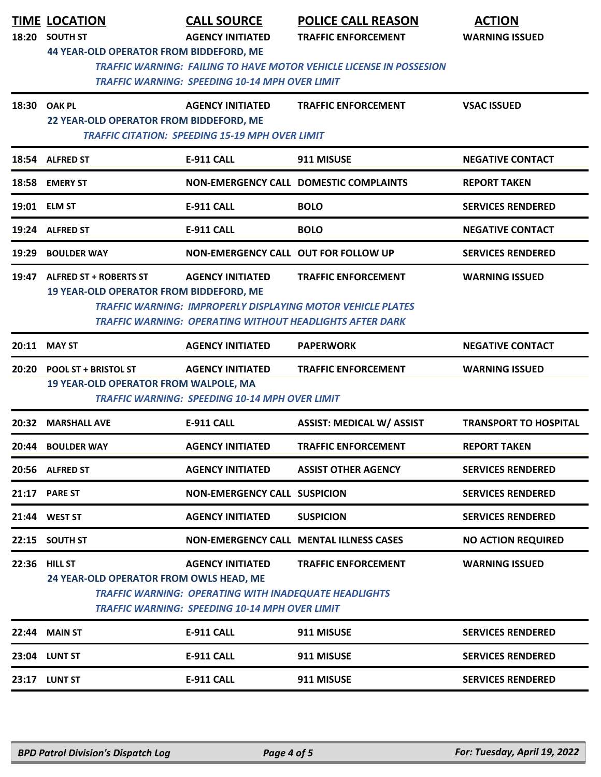| 18:20 | <b>TIME LOCATION</b><br><b>SOUTH ST</b><br><b>44 YEAR-OLD OPERATOR FROM BIDDEFORD, ME</b> | <b>CALL SOURCE</b><br><b>AGENCY INITIATED</b>                                                                                                    | <b>POLICE CALL REASON</b><br><b>TRAFFIC ENFORCEMENT</b>                                                                                                             | <b>ACTION</b><br><b>WARNING ISSUED</b> |
|-------|-------------------------------------------------------------------------------------------|--------------------------------------------------------------------------------------------------------------------------------------------------|---------------------------------------------------------------------------------------------------------------------------------------------------------------------|----------------------------------------|
|       |                                                                                           | <b>TRAFFIC WARNING: SPEEDING 10-14 MPH OVER LIMIT</b>                                                                                            | <b>TRAFFIC WARNING: FAILING TO HAVE MOTOR VEHICLE LICENSE IN POSSESION</b>                                                                                          |                                        |
|       | 18:30 OAK PL<br>22 YEAR-OLD OPERATOR FROM BIDDEFORD, ME                                   | <b>AGENCY INITIATED</b><br><b>TRAFFIC CITATION: SPEEDING 15-19 MPH OVER LIMIT</b>                                                                | <b>TRAFFIC ENFORCEMENT</b>                                                                                                                                          | <b>VSAC ISSUED</b>                     |
|       | 18:54 ALFRED ST                                                                           | <b>E-911 CALL</b>                                                                                                                                | 911 MISUSE                                                                                                                                                          | <b>NEGATIVE CONTACT</b>                |
| 18:58 | <b>EMERY ST</b>                                                                           |                                                                                                                                                  | <b>NON-EMERGENCY CALL DOMESTIC COMPLAINTS</b>                                                                                                                       | <b>REPORT TAKEN</b>                    |
|       | 19:01 ELM ST                                                                              | <b>E-911 CALL</b>                                                                                                                                | <b>BOLO</b>                                                                                                                                                         | <b>SERVICES RENDERED</b>               |
|       | 19:24 ALFRED ST                                                                           | <b>E-911 CALL</b>                                                                                                                                | <b>BOLO</b>                                                                                                                                                         | <b>NEGATIVE CONTACT</b>                |
| 19:29 | <b>BOULDER WAY</b>                                                                        | <b>NON-EMERGENCY CALL OUT FOR FOLLOW UP</b>                                                                                                      |                                                                                                                                                                     | <b>SERVICES RENDERED</b>               |
| 19:47 | <b>ALFRED ST + ROBERTS ST</b><br>19 YEAR-OLD OPERATOR FROM BIDDEFORD, ME                  | <b>AGENCY INITIATED</b>                                                                                                                          | <b>TRAFFIC ENFORCEMENT</b><br><b>TRAFFIC WARNING: IMPROPERLY DISPLAYING MOTOR VEHICLE PLATES</b><br><b>TRAFFIC WARNING: OPERATING WITHOUT HEADLIGHTS AFTER DARK</b> | <b>WARNING ISSUED</b>                  |
|       | 20:11 MAY ST                                                                              | <b>AGENCY INITIATED</b>                                                                                                                          | <b>PAPERWORK</b>                                                                                                                                                    | <b>NEGATIVE CONTACT</b>                |
| 20:20 | <b>POOL ST + BRISTOL ST</b><br>19 YEAR-OLD OPERATOR FROM WALPOLE, MA                      | <b>AGENCY INITIATED</b><br><b>TRAFFIC WARNING: SPEEDING 10-14 MPH OVER LIMIT</b>                                                                 | <b>TRAFFIC ENFORCEMENT</b>                                                                                                                                          | <b>WARNING ISSUED</b>                  |
| 20:32 | <b>MARSHALL AVE</b>                                                                       | <b>E-911 CALL</b>                                                                                                                                | <b>ASSIST: MEDICAL W/ ASSIST</b>                                                                                                                                    | <b>TRANSPORT TO HOSPITAL</b>           |
| 20:44 | <b>BOULDER WAY</b>                                                                        | <b>AGENCY INITIATED</b>                                                                                                                          | <b>TRAFFIC ENFORCEMENT</b>                                                                                                                                          | <b>REPORT TAKEN</b>                    |
|       | 20:56 ALFRED ST                                                                           | <b>AGENCY INITIATED</b>                                                                                                                          | <b>ASSIST OTHER AGENCY</b>                                                                                                                                          | <b>SERVICES RENDERED</b>               |
|       | 21:17 PARE ST                                                                             | <b>NON-EMERGENCY CALL SUSPICION</b>                                                                                                              |                                                                                                                                                                     | <b>SERVICES RENDERED</b>               |
|       | 21:44 WEST ST                                                                             | <b>AGENCY INITIATED</b>                                                                                                                          | <b>SUSPICION</b>                                                                                                                                                    | <b>SERVICES RENDERED</b>               |
| 22:15 | <b>SOUTH ST</b>                                                                           |                                                                                                                                                  | NON-EMERGENCY CALL MENTAL ILLNESS CASES                                                                                                                             | <b>NO ACTION REQUIRED</b>              |
| 22:36 | <b>HILL ST</b><br>24 YEAR-OLD OPERATOR FROM OWLS HEAD, ME                                 | <b>AGENCY INITIATED</b><br><b>TRAFFIC WARNING: OPERATING WITH INADEQUATE HEADLIGHTS</b><br><b>TRAFFIC WARNING: SPEEDING 10-14 MPH OVER LIMIT</b> | <b>TRAFFIC ENFORCEMENT</b>                                                                                                                                          | <b>WARNING ISSUED</b>                  |
| 22:44 | <b>MAIN ST</b>                                                                            | <b>E-911 CALL</b>                                                                                                                                | 911 MISUSE                                                                                                                                                          | <b>SERVICES RENDERED</b>               |
|       | 23:04 LUNT ST                                                                             | <b>E-911 CALL</b>                                                                                                                                | 911 MISUSE                                                                                                                                                          | <b>SERVICES RENDERED</b>               |
|       | <b>23:17 LUNT ST</b>                                                                      | <b>E-911 CALL</b>                                                                                                                                | 911 MISUSE                                                                                                                                                          | <b>SERVICES RENDERED</b>               |